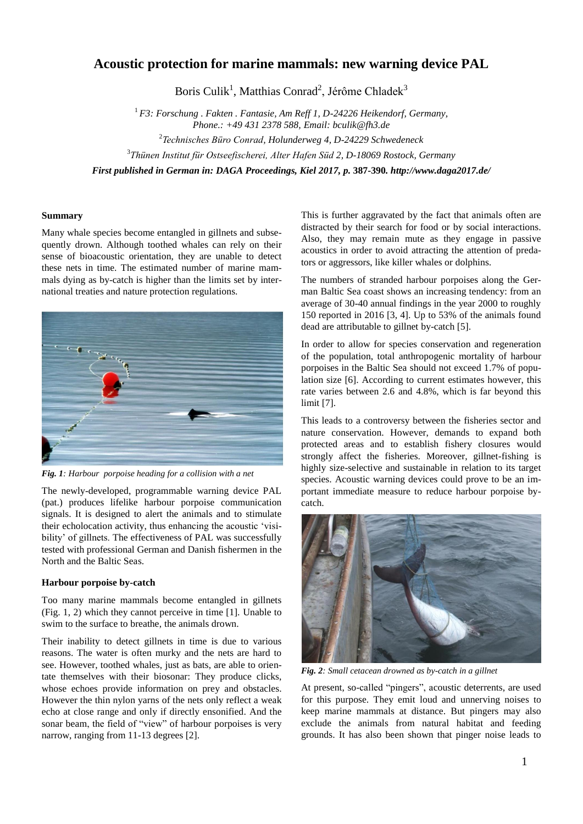# **Acoustic protection for marine mammals: new warning device PAL**

Boris Culik<sup>1</sup>, Matthias Conrad<sup>2</sup>, Jérôme Chladek<sup>3</sup>

<sup>1</sup>*F3: Forschung . Fakten . Fantasie, Am Reff 1, D-24226 Heikendorf, Germany, Phone.: +49 431 2378 588, Email: bculik@fh3.de*  <sup>2</sup>Technisches Büro Conrad, Holunderweg 4, D-24229 Schwedeneck

<sup>3</sup>Thünen Institut für Ostseefischerei, Alter Hafen Süd 2, D-18069 Rostock, Germany

*First published in German in: DAGA Proceedings, Kiel 2017, p.* **387-390***. http://www.daga2017.de/*

## **Summary**

Many whale species become entangled in gillnets and subsequently drown. Although toothed whales can rely on their sense of bioacoustic orientation, they are unable to detect these nets in time. The estimated number of marine mammals dying as by-catch is higher than the limits set by international treaties and nature protection regulations.



*Fig. 1: Harbour porpoise heading for a collision with a net*

The newly-developed, programmable warning device PAL (pat.) produces lifelike harbour porpoise communication signals. It is designed to alert the animals and to stimulate their echolocation activity, thus enhancing the acoustic 'visibility' of gillnets. The effectiveness of PAL was successfully tested with professional German and Danish fishermen in the North and the Baltic Seas.

# **Harbour porpoise by-catch**

Too many marine mammals become entangled in gillnets (Fig. 1, 2) which they cannot perceive in time [1]. Unable to swim to the surface to breathe, the animals drown.

Their inability to detect gillnets in time is due to various reasons. The water is often murky and the nets are hard to see. However, toothed whales, just as bats, are able to orientate themselves with their biosonar: They produce clicks, whose echoes provide information on prey and obstacles. However the thin nylon yarns of the nets only reflect a weak echo at close range and only if directly ensonified. And the sonar beam, the field of "view" of harbour porpoises is very narrow, ranging from 11-13 degrees [2].

This is further aggravated by the fact that animals often are distracted by their search for food or by social interactions. Also, they may remain mute as they engage in passive acoustics in order to avoid attracting the attention of predators or aggressors, like killer whales or dolphins.

The numbers of stranded harbour porpoises along the German Baltic Sea coast shows an increasing tendency: from an average of 30-40 annual findings in the year 2000 to roughly 150 reported in 2016 [3, 4]. Up to 53% of the animals found dead are attributable to gillnet by-catch [5].

In order to allow for species conservation and regeneration of the population, total anthropogenic mortality of harbour porpoises in the Baltic Sea should not exceed 1.7% of population size [6]. According to current estimates however, this rate varies between 2.6 and 4.8%, which is far beyond this limit [7].

This leads to a controversy between the fisheries sector and nature conservation. However, demands to expand both protected areas and to establish fishery closures would strongly affect the fisheries. Moreover, gillnet-fishing is highly size-selective and sustainable in relation to its target species. Acoustic warning devices could prove to be an important immediate measure to reduce harbour porpoise bycatch.



*Fig. 2: Small cetacean drowned as by-catch in a gillnet*

At present, so-called "pingers", acoustic deterrents, are used for this purpose. They emit loud and unnerving noises to keep marine mammals at distance. But pingers may also exclude the animals from natural habitat and feeding grounds. It has also been shown that pinger noise leads to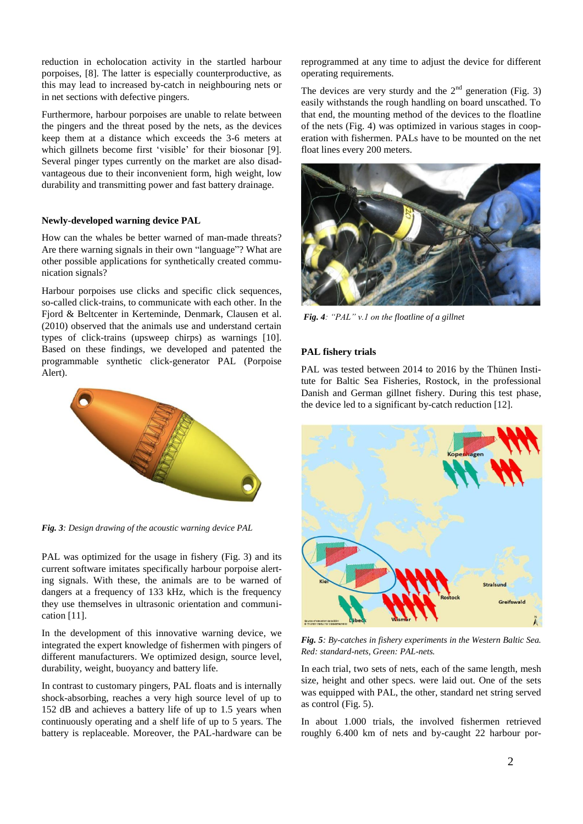reduction in echolocation activity in the startled harbour porpoises, [8]. The latter is especially counterproductive, as this may lead to increased by-catch in neighbouring nets or in net sections with defective pingers.

Furthermore, harbour porpoises are unable to relate between the pingers and the threat posed by the nets, as the devices keep them at a distance which exceeds the 3-6 meters at which gillnets become first 'visible' for their biosonar [9]. Several pinger types currently on the market are also disadvantageous due to their inconvenient form, high weight, low durability and transmitting power and fast battery drainage.

# **Newly-developed warning device PAL**

How can the whales be better warned of man-made threats? Are there warning signals in their own "language"? What are other possible applications for synthetically created communication signals?

Harbour porpoises use clicks and specific click sequences, so-called click-trains, to communicate with each other. In the Fjord & Beltcenter in Kerteminde, Denmark, Clausen et al. (2010) observed that the animals use and understand certain types of click-trains (upsweep chirps) as warnings [10]. Based on these findings, we developed and patented the programmable synthetic click-generator PAL (Porpoise Alert).



*Fig. 3: Design drawing of the acoustic warning device PAL* 

PAL was optimized for the usage in fishery (Fig. 3) and its current software imitates specifically harbour porpoise alerting signals. With these, the animals are to be warned of dangers at a frequency of 133 kHz, which is the frequency they use themselves in ultrasonic orientation and communication [11].

In the development of this innovative warning device, we integrated the expert knowledge of fishermen with pingers of different manufacturers. We optimized design, source level, durability, weight, buoyancy and battery life.

In contrast to customary pingers, PAL floats and is internally shock-absorbing, reaches a very high source level of up to 152 dB and achieves a battery life of up to 1.5 years when continuously operating and a shelf life of up to 5 years. The battery is replaceable. Moreover, the PAL-hardware can be reprogrammed at any time to adjust the device for different operating requirements.

The devices are very sturdy and the  $2<sup>nd</sup>$  generation (Fig. 3) easily withstands the rough handling on board unscathed. To that end, the mounting method of the devices to the floatline of the nets (Fig. 4) was optimized in various stages in cooperation with fishermen. PALs have to be mounted on the net float lines every 200 meters.



*Fig. 4: "PAL" v.1 on the floatline of a gillnet* 

# **PAL fishery trials**

PAL was tested between 2014 to 2016 by the Thünen Institute for Baltic Sea Fisheries, Rostock, in the professional Danish and German gillnet fishery. During this test phase, the device led to a significant by-catch reduction [12].



*Fig. 5: By-catches in fishery experiments in the Western Baltic Sea. Red: standard-nets, Green: PAL-nets.*

In each trial, two sets of nets, each of the same length, mesh size, height and other specs. were laid out. One of the sets was equipped with PAL, the other, standard net string served as control (Fig. 5).

In about 1.000 trials, the involved fishermen retrieved roughly 6.400 km of nets and by-caught 22 harbour por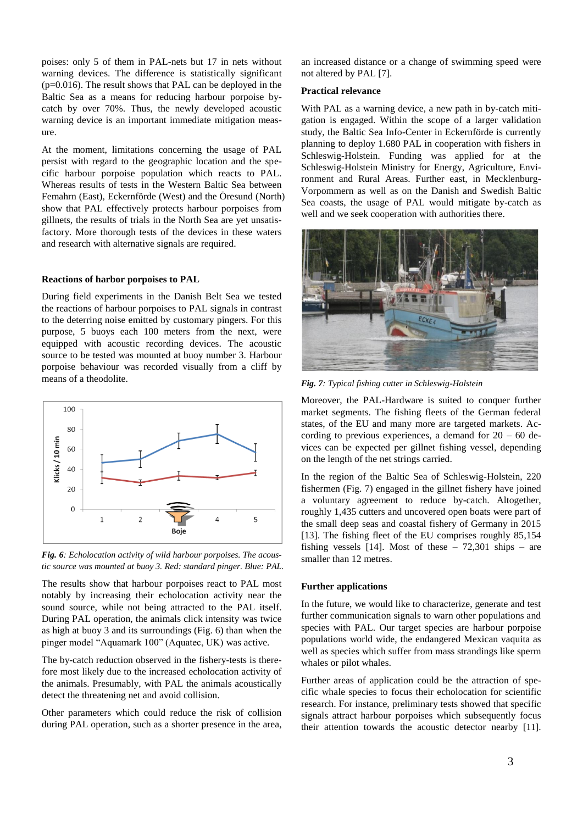poises: only 5 of them in PAL-nets but 17 in nets without warning devices. The difference is statistically significant  $(p=0.016)$ . The result shows that PAL can be deployed in the Baltic Sea as a means for reducing harbour porpoise bycatch by over 70%. Thus, the newly developed acoustic warning device is an important immediate mitigation measure.

At the moment, limitations concerning the usage of PAL persist with regard to the geographic location and the specific harbour porpoise population which reacts to PAL. Whereas results of tests in the Western Baltic Sea between Femahrn (East), Eckernförde (West) and the Öresund (North) show that PAL effectively protects harbour porpoises from gillnets, the results of trials in the North Sea are yet unsatisfactory. More thorough tests of the devices in these waters and research with alternative signals are required.

#### **Reactions of harbor porpoises to PAL**

During field experiments in the Danish Belt Sea we tested the reactions of harbour porpoises to PAL signals in contrast to the deterring noise emitted by customary pingers. For this purpose, 5 buoys each 100 meters from the next, were equipped with acoustic recording devices. The acoustic source to be tested was mounted at buoy number 3. Harbour porpoise behaviour was recorded visually from a cliff by means of a theodolite.



*Fig. 6: Echolocation activity of wild harbour porpoises. The acoustic source was mounted at buoy 3. Red: standard pinger. Blue: PAL.*

The results show that harbour porpoises react to PAL most notably by increasing their echolocation activity near the sound source, while not being attracted to the PAL itself. During PAL operation, the animals click intensity was twice as high at buoy 3 and its surroundings (Fig. 6) than when the pinger model "Aquamark 100" (Aquatec, UK) was active.

The by-catch reduction observed in the fishery-tests is therefore most likely due to the increased echolocation activity of the animals. Presumably, with PAL the animals acoustically detect the threatening net and avoid collision.

Other parameters which could reduce the risk of collision during PAL operation, such as a shorter presence in the area, an increased distance or a change of swimming speed were not altered by PAL [7].

# **Practical relevance**

With PAL as a warning device, a new path in by-catch mitigation is engaged. Within the scope of a larger validation study, the Baltic Sea Info-Center in Eckernförde is currently planning to deploy 1.680 PAL in cooperation with fishers in Schleswig-Holstein. Funding was applied for at the Schleswig-Holstein Ministry for Energy, Agriculture, Environment and Rural Areas. Further east, in Mecklenburg-Vorpommern as well as on the Danish and Swedish Baltic Sea coasts, the usage of PAL would mitigate by-catch as well and we seek cooperation with authorities there.



*Fig. 7: Typical fishing cutter in Schleswig-Holstein*

Moreover, the PAL-Hardware is suited to conquer further market segments. The fishing fleets of the German federal states, of the EU and many more are targeted markets. According to previous experiences, a demand for  $20 - 60$  devices can be expected per gillnet fishing vessel, depending on the length of the net strings carried.

In the region of the Baltic Sea of Schleswig-Holstein, 220 fishermen (Fig. 7) engaged in the gillnet fishery have joined a voluntary agreement to reduce by-catch. Altogether, roughly 1,435 cutters and uncovered open boats were part of the small deep seas and coastal fishery of Germany in 2015 [13]. The fishing fleet of the EU comprises roughly 85,154 fishing vessels [14]. Most of these  $-72,301$  ships  $-$  are smaller than 12 metres.

# **Further applications**

In the future, we would like to characterize, generate and test further communication signals to warn other populations and species with PAL. Our target species are harbour porpoise populations world wide, the endangered Mexican vaquita as well as species which suffer from mass strandings like sperm whales or pilot whales.

Further areas of application could be the attraction of specific whale species to focus their echolocation for scientific research. For instance, preliminary tests showed that specific signals attract harbour porpoises which subsequently focus their attention towards the acoustic detector nearby [11].